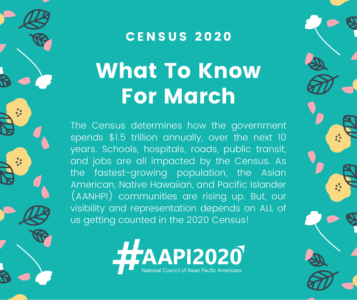

#### C E N S U S 2 0 2 0

# What To Know For March

The Census determines how the government spends \$1.5 trillion annually, over the next 10 years. Schools, hospitals, roads, public transit, and jobs are all impacted by the Census. As the fastest-growing population, the Asian American, Native Hawaiian, and Pacific Islander (AANHPI) communities are rising up. But, our visibility and representation depends on ALL of us getting counted in the 2020 Census!



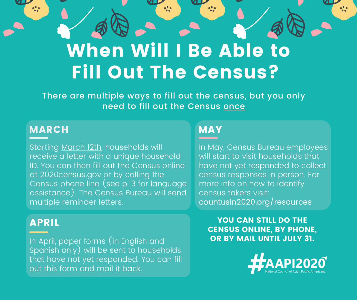## When Will I Be Able to Fill Out The Census?

There are multiple ways to fill out the census, but you only need to fill out the Census once

#### MARCH MAY

 $\frac{1}{2}$ 

Starting March 12th, households will receive a letter with a unique household ID. You can then fill out the Census online at 2020census.gov or by calling the Census phone line (see p. 3 for language assistance). The Census Bureau will send multiple reminder letters.

#### APRIL

In April, paper forms (in English and Spanish only) will be sent to households that have not yet responded. You can fill out this form and mail it back.

 $\ddot{\cdot}$ 

In May, Census Bureau employees will start to visit households that have not yet responded to collect census responses in person. For more info on how to identify census takers visit: countusin2020.org/resources

YOU CAN STILL DO THE CENSUS ONLINE, BY PHONE, OR BY MAIL UNTIL JULY 31.

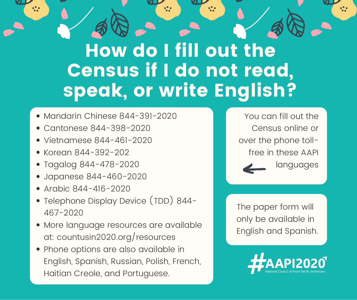### How do I fill out the Census if I do not read, speak, or write English?

 $\frac{1}{2}$ 

 $\frac{1}{2}$ 

- Mandarin Chinese 844-391-2020
- Cantonese 844-398-2020
- Vietnamese 844-461-2020
- Korean 844-392-202

 $\frac{1}{2}$ 

- Tagalog 844-478-2020
- Japanese 844-460-2020
- Arabic 844-416-2020
- Telephone Display Device (TDD) 844- 467-2020
- More language resources are available at: countusin2020.org/resources
- Phone options are also available in  $\bullet$ English, Spanish, Russian, Polish, French, Haitian Creole, and Portuguese.

You can fill out the Census online or over the phone tollfree in these AAPI languages

The paper form will only be available in English and Spanish.

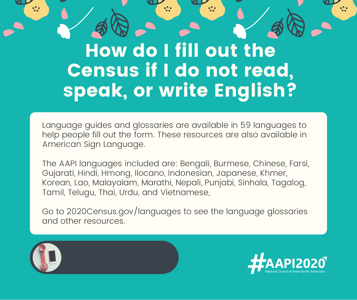## How do I fill out the Census if I do not read, speak, or write English?

Language guides and glossaries are available in 59 languages to help people fill out the form. These resources are also available in American Sign Language.

The AAPI languages included are: Bengali, Burmese, Chinese, Farsi, Gujarati, Hindi, Hmong, Ilocano, Indonesian, Japanese, Khmer, Korean, Lao, Malayalam, Marathi, Nepali, Punjabi, Sinhala, Tagalog, Tamil, Telugu, Thai, Urdu, and Vietnamese,

Go to 2020Census.gov/languages to see the language glossaries and other resources.



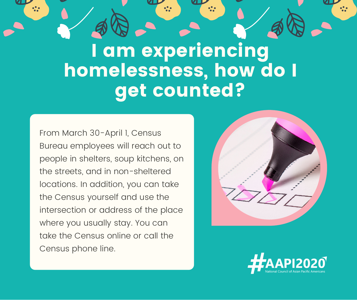## I am experiencing homelessness, how do I get counted?

From March 30-April 1, Census Bureau employees will reach out to people in shelters, soup kitchens, on the streets, and in non-sheltered locations. In addition, you can take the Census yourself and use the intersection or address of the place where you usually stay. You can take the Census online or call the Census phone line.



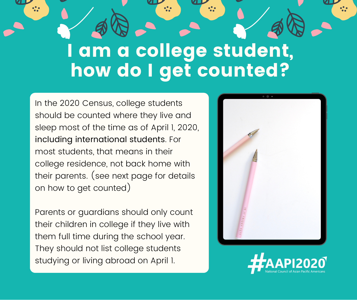#### I am a college student, how do I get counted?

In the 2020 Census, college students should be counted where they live and sleep most of the time as of April 1, 2020, including international students. For most students, that means in their college residence, not back home with their parents. (see next page for details on how to get counted)

Parents or guardians should only count their children in college if they live with them full time during the school year. They should not list college students studying or living abroad on April 1.



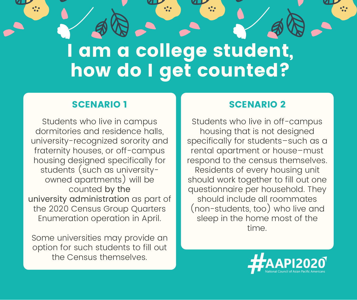## I am a college student, how do I get counted?

Students who live in campus dormitories and residence halls, university-recognized sorority and fraternity houses, or off-campus housing designed specifically for students (such as university owned apartments) will be counted by the university administration as part of the 2020 Census Group Quarters Enumeration operation in April.

Some universities may provide an option for such students to fill out the Census themselves.

#### SCENARIO 1 SCENARIO 2

Students who live in off-campus housing that is not designed specifically for students–such as a rental apartment or house–must respond to the census themselves. Residents of every housing unit should work together to fill out one questionnaire per household. They should include all roommates (non-students, too) who live and sleep in the home most of the time.

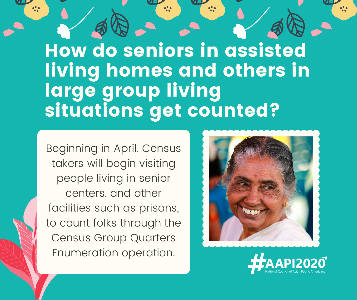How do seniors in assisted living homes and others in large group living situations get counted?

Beginning in April, Census takers will begin visiting people living in senior centers, and other facilities such as prisons, to count folks through the Census Group Quarters Enumeration operation.